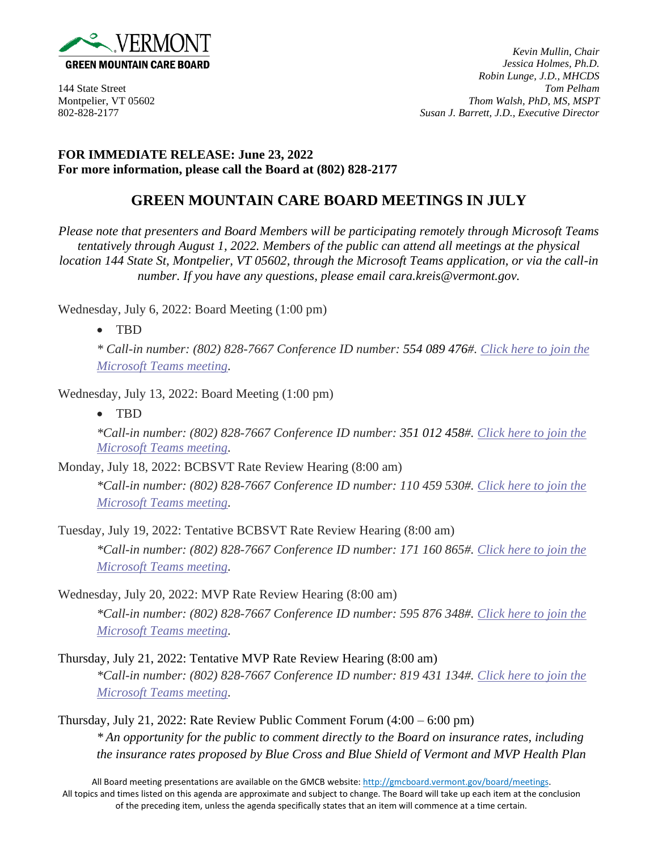

## **FOR IMMEDIATE RELEASE: June 23, 2022 For more information, please call the Board at (802) 828-2177**

## **GREEN MOUNTAIN CARE BOARD MEETINGS IN JULY**

*Please note that presenters and Board Members will be participating remotely through Microsoft Teams tentatively through August 1, 2022. Members of the public can attend all meetings at the physical location 144 State St, Montpelier, VT 05602, through the Microsoft Teams application, or via the call-in number. If you have any questions, please email cara.kreis@vermont.gov.*

Wednesday, July 6, 2022: Board Meeting (1:00 pm)

• TBD

*\* Call-in number: (802) 828-7667 Conference ID number: 554 089 476#. [Click here to join the](https://teams.microsoft.com/l/meetup-join/19%3ameeting_ZmU4ZTA1MWYtNjg1OS00ODIzLWIyY2UtMzgxMDNkYTQwZTc2%40thread.v2/0?context=%7b%22Tid%22%3a%2220b4933b-baad-433c-9c02-70edcc7559c6%22%2c%22Oid%22%3a%2263d3547f-e4c1-4857-ba9b-7340463e85f4%22%7d)  [Microsoft Teams meeting.](https://teams.microsoft.com/l/meetup-join/19%3ameeting_ZmU4ZTA1MWYtNjg1OS00ODIzLWIyY2UtMzgxMDNkYTQwZTc2%40thread.v2/0?context=%7b%22Tid%22%3a%2220b4933b-baad-433c-9c02-70edcc7559c6%22%2c%22Oid%22%3a%2263d3547f-e4c1-4857-ba9b-7340463e85f4%22%7d)*

Wednesday, July 13, 2022: Board Meeting (1:00 pm)

• TBD

*\*Call-in number: (802) 828-7667 Conference ID number: 351 012 458#. [Click here to join the](https://teams.microsoft.com/l/meetup-join/19%3ameeting_Y2RlNTk4ZjItYmUzNy00ZWI4LThmOTMtM2Y4NThhMzA3ZDM4%40thread.v2/0?context=%7b%22Tid%22%3a%2220b4933b-baad-433c-9c02-70edcc7559c6%22%2c%22Oid%22%3a%2263d3547f-e4c1-4857-ba9b-7340463e85f4%22%7d)  [Microsoft Teams meeting.](https://teams.microsoft.com/l/meetup-join/19%3ameeting_Y2RlNTk4ZjItYmUzNy00ZWI4LThmOTMtM2Y4NThhMzA3ZDM4%40thread.v2/0?context=%7b%22Tid%22%3a%2220b4933b-baad-433c-9c02-70edcc7559c6%22%2c%22Oid%22%3a%2263d3547f-e4c1-4857-ba9b-7340463e85f4%22%7d)*

Monday, July 18, 2022: BCBSVT Rate Review Hearing (8:00 am)

*\*Call-in number: (802) 828-7667 Conference ID number: 110 459 530#. [Click here to join the](https://teams.microsoft.com/l/meetup-join/19%3ameeting_ZGU2NmE3OWMtMWM0Mi00NjhiLTkwODYtNjBkYTMzMmE4Zjdl%40thread.v2/0?context=%7b%22Tid%22%3a%2220b4933b-baad-433c-9c02-70edcc7559c6%22%2c%22Oid%22%3a%22e10e6ec8-fc40-4b49-8977-a8c8ed6e7e16%22%7d)  [Microsoft Teams meeting.](https://teams.microsoft.com/l/meetup-join/19%3ameeting_ZGU2NmE3OWMtMWM0Mi00NjhiLTkwODYtNjBkYTMzMmE4Zjdl%40thread.v2/0?context=%7b%22Tid%22%3a%2220b4933b-baad-433c-9c02-70edcc7559c6%22%2c%22Oid%22%3a%22e10e6ec8-fc40-4b49-8977-a8c8ed6e7e16%22%7d)*

- Tuesday, July 19, 2022: Tentative BCBSVT Rate Review Hearing (8:00 am) *\*Call-in number: (802) 828-7667 Conference ID number: 171 160 865#. [Click here to join the](https://teams.microsoft.com/l/meetup-join/19%3ameeting_MDRkNTRhMzctOGQ0ZC00M2I2LTk1MjQtZDAyNzUwYTEwYjhj%40thread.v2/0?context=%7b%22Tid%22%3a%2220b4933b-baad-433c-9c02-70edcc7559c6%22%2c%22Oid%22%3a%22e10e6ec8-fc40-4b49-8977-a8c8ed6e7e16%22%7d)  [Microsoft Teams meeting.](https://teams.microsoft.com/l/meetup-join/19%3ameeting_MDRkNTRhMzctOGQ0ZC00M2I2LTk1MjQtZDAyNzUwYTEwYjhj%40thread.v2/0?context=%7b%22Tid%22%3a%2220b4933b-baad-433c-9c02-70edcc7559c6%22%2c%22Oid%22%3a%22e10e6ec8-fc40-4b49-8977-a8c8ed6e7e16%22%7d)*
- Wednesday, July 20, 2022: MVP Rate Review Hearing (8:00 am) *\*Call-in number: (802) 828-7667 Conference ID number: 595 876 348#. [Click here to join the](https://teams.microsoft.com/l/meetup-join/19%3ameeting_MTkzNGQyNTktNjYzMy00ZGFiLTgyMjAtYjQ1M2Q4MjFlMDk0%40thread.v2/0?context=%7b%22Tid%22%3a%2220b4933b-baad-433c-9c02-70edcc7559c6%22%2c%22Oid%22%3a%22e10e6ec8-fc40-4b49-8977-a8c8ed6e7e16%22%7d)  [Microsoft Teams meeting.](https://teams.microsoft.com/l/meetup-join/19%3ameeting_MTkzNGQyNTktNjYzMy00ZGFiLTgyMjAtYjQ1M2Q4MjFlMDk0%40thread.v2/0?context=%7b%22Tid%22%3a%2220b4933b-baad-433c-9c02-70edcc7559c6%22%2c%22Oid%22%3a%22e10e6ec8-fc40-4b49-8977-a8c8ed6e7e16%22%7d)*
- Thursday, July 21, 2022: Tentative MVP Rate Review Hearing (8:00 am) *\*Call-in number: (802) 828-7667 Conference ID number: 819 431 134#. [Click here to join the](https://teams.microsoft.com/l/meetup-join/19%3ameeting_YmRjMmNhMWYtYmUxYi00YjUxLWFjMmItOWVjOTBhMTlhOTIx%40thread.v2/0?context=%7b%22Tid%22%3a%2220b4933b-baad-433c-9c02-70edcc7559c6%22%2c%22Oid%22%3a%22e10e6ec8-fc40-4b49-8977-a8c8ed6e7e16%22%7d)  [Microsoft Teams meeting.](https://teams.microsoft.com/l/meetup-join/19%3ameeting_YmRjMmNhMWYtYmUxYi00YjUxLWFjMmItOWVjOTBhMTlhOTIx%40thread.v2/0?context=%7b%22Tid%22%3a%2220b4933b-baad-433c-9c02-70edcc7559c6%22%2c%22Oid%22%3a%22e10e6ec8-fc40-4b49-8977-a8c8ed6e7e16%22%7d)*
- Thursday, July 21, 2022: Rate Review Public Comment Forum (4:00 6:00 pm) *\* An opportunity for the public to comment directly to the Board on insurance rates, including the insurance rates proposed by Blue Cross and Blue Shield of Vermont and MVP Health Plan*